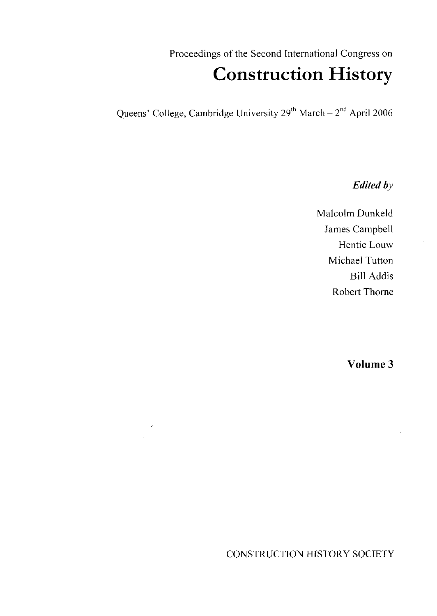Proceedings of the Second International Congress on

# Construction History

Queens' College, Cambridge University 29<sup>th</sup> March – 2<sup>nd</sup> April 2006

*Edited by*

Malcolm Dunkeld James Campbell Hentie Louw Michael Tutton Bill Addis Robert Thorne

Volume 3

CONSTRUCTION HISTORY SOCIETY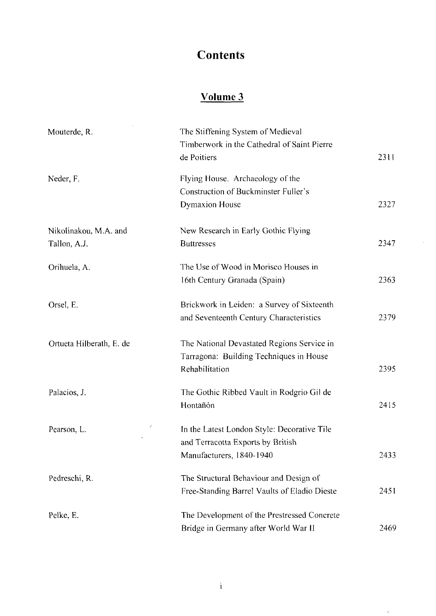# **Contents**

## Volume 3

| Mouterde, R.             | The Stiffening System of Medieval            |      |
|--------------------------|----------------------------------------------|------|
|                          | Timberwork in the Cathedral of Saint Pierre  |      |
|                          | de Poitiers                                  | 2311 |
| Neder, F.                | Flying House. Archaeology of the             |      |
|                          | Construction of Buckminster Fuller's         |      |
|                          | <b>Dymaxion House</b>                        | 2327 |
| Nikolinakou, M.A. and    | New Research in Early Gothic Flying          |      |
| Tallon, A.J.             | <b>Buttresses</b>                            | 2347 |
| Orihuela, A.             | The Use of Wood in Morisco Houses in         |      |
|                          | 16th Century Granada (Spain)                 | 2363 |
| Orsel, E.                | Brickwork in Leiden: a Survey of Sixteenth   |      |
|                          | and Seventeenth Century Characteristics      | 2379 |
| Ortueta Hilberath, E. de | The National Devastated Regions Service in   |      |
|                          | Tarragona: Building Techniques in House      |      |
|                          | Rehabilitation                               | 2395 |
| Palacios, J.             | The Gothic Ribbed Vault in Rodgrio Gil de    |      |
|                          | Hontañón                                     | 2415 |
| Ź<br>Pearson, L.         | In the Latest London Style: Decorative Tile  |      |
|                          | and Terracotta Exports by British            |      |
|                          | Manufacturers, 1840-1940                     | 2433 |
| Pedreschi, R.            | The Structural Behaviour and Design of       |      |
|                          | Free-Standing Barrel Vaults of Eladio Dieste | 2451 |
| Pelke, E.                | The Development of the Prestressed Concrete  |      |
|                          | Bridge in Germany after World War II         | 2469 |

 $\bar{z}$ 

 $\epsilon$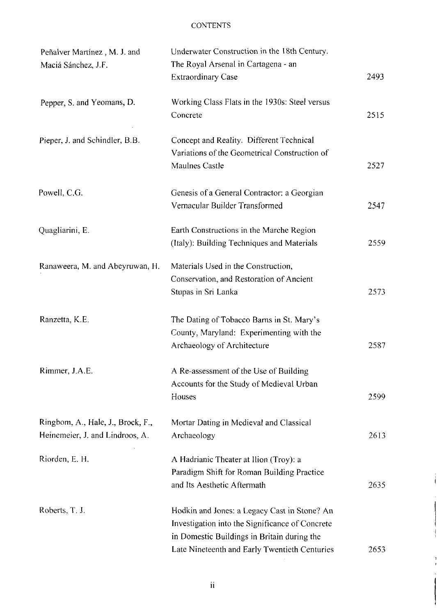| Peñalver Martínez, M. J. and      | Underwater Construction in the 18th Century.    |      |
|-----------------------------------|-------------------------------------------------|------|
| Maciá Sánchez, J.F.               | The Royal Arsenal in Cartagena - an             |      |
|                                   | <b>Extraordinary Case</b>                       | 2493 |
| Pepper, S. and Yeomans, D.        | Working Class Flats in the 1930s: Steel versus  |      |
|                                   | Concrete                                        | 2515 |
| Pieper, J. and Schindler, B.B.    | Concept and Reality. Different Technical        |      |
|                                   | Variations of the Geometrical Construction of   |      |
|                                   | Maulnes Castle                                  | 2527 |
| Powell, C.G.                      | Genesis of a General Contractor: a Georgian     |      |
|                                   | Vernacular Builder Transformed                  | 2547 |
| Quagliarini, E.                   | Earth Constructions in the Marche Region        |      |
|                                   | (Italy): Building Techniques and Materials      | 2559 |
| Ranaweera, M. and Abeyruwan, H.   | Materials Used in the Construction,             |      |
|                                   | Conservation, and Restoration of Ancient        |      |
|                                   | Stupas in Sri Lanka                             | 2573 |
| Ranzetta, K.E.                    | The Dating of Tobacco Barns in St. Mary's       |      |
|                                   | County, Maryland: Experimenting with the        |      |
|                                   | Archaeology of Architecture                     | 2587 |
| Rimmer, J.A.E.                    | A Re-assessment of the Use of Building          |      |
|                                   | Accounts for the Study of Medieval Urban        |      |
|                                   | Houses                                          | 2599 |
| Ringbom, A., Hale, J., Brock, F., | Mortar Dating in Medieval and Classical         |      |
| Heinemeier, J. and Lindroos, A.   | Archaeology                                     | 2613 |
| Riorden, E. H.                    | A Hadrianic Theater at Ilion (Troy): a          |      |
|                                   | Paradigm Shift for Roman Building Practice      |      |
|                                   | and Its Aesthetic Aftermath                     | 2635 |
| Roberts, T. J.                    | Hodkin and Jones: a Legacy Cast in Stone? An    |      |
|                                   | Investigation into the Significance of Concrete |      |
|                                   | in Domestic Buildings in Britain during the     |      |
|                                   | Late Nineteenth and Early Twentieth Centuries   | 2653 |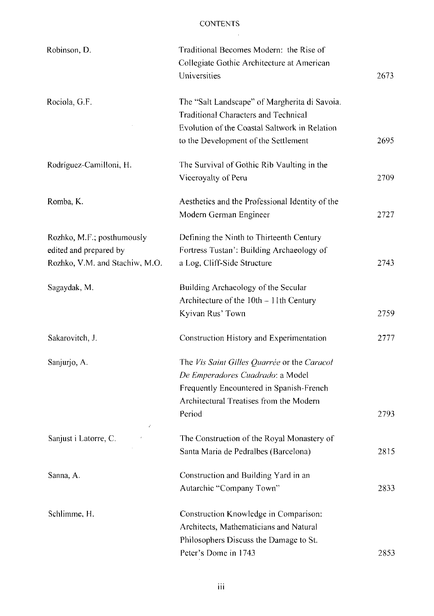$\sim$ 

| Robinson, D.                   | Traditional Becomes Modern: the Rise of         |      |
|--------------------------------|-------------------------------------------------|------|
|                                | Collegiate Gothic Architecture at American      |      |
|                                | Universities                                    | 2673 |
| Rociola, G.F.                  | The "Salt Landscape" of Margherita di Savoia.   |      |
|                                | Traditional Characters and Technical            |      |
|                                | Evolution of the Coastal Saltwork in Relation   |      |
|                                | to the Development of the Settlement            | 2695 |
| Rodríguez-Camilloni, H.        | The Survival of Gothic Rib Vaulting in the      |      |
|                                | Viceroyalty of Peru                             | 2709 |
| Romba, K.                      | Aesthetics and the Professional Identity of the |      |
|                                | Modern German Engineer                          | 2727 |
| Rozhko, M.F.; posthumously     | Defining the Ninth to Thirteenth Century        |      |
| edited and prepared by         | Fortress Tustan': Building Archaeology of       |      |
| Rozhko, V.M. and Stachiw, M.O. | a Log, Cliff-Side Structure                     | 2743 |
| Sagaydak, M.                   | Building Archaeology of the Secular             |      |
|                                | Architecture of the 10th - 11th Century         |      |
|                                | Kyivan Rus' Town                                | 2759 |
| Sakarovitch, J.                | Construction History and Experimentation        | 2777 |
| Sanjurjo, A.                   | The Vis Saint Gilles Quarrée or the Caracol     |      |
|                                | De Emperadores Cuadrado: a Model                |      |
|                                | Frequently Encountered in Spanish-French        |      |
|                                | Architectural Treatises from the Modern         |      |
|                                | Period                                          | 2793 |
| Sanjust i Latorre, C.          | The Construction of the Royal Monastery of      |      |
|                                | Santa Maria de Pedralbes (Barcelona)            | 2815 |
| Sanna, A.                      | Construction and Building Yard in an            |      |
|                                | Autarchic "Company Town"                        | 2833 |
| Schlimme, H.                   | Construction Knowledge in Comparison:           |      |
|                                | Architects, Mathematicians and Natural          |      |
|                                | Philosophers Discuss the Damage to St.          |      |
|                                | Peter's Dome in 1743                            | 2853 |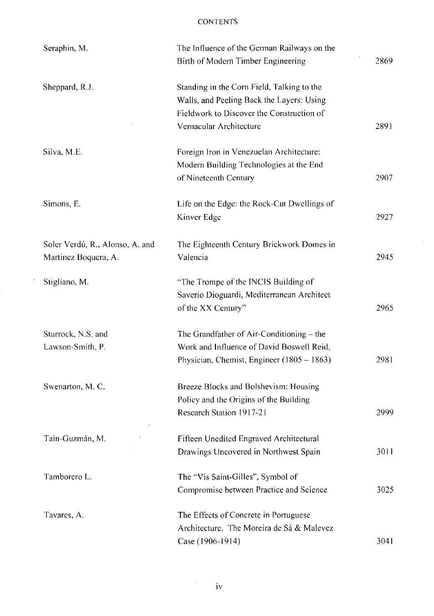| Seraphin, M.                                            | The Influence of the German Railways on the<br>Birth of Modern Timber Engineering                                                                               | 2869 |
|---------------------------------------------------------|-----------------------------------------------------------------------------------------------------------------------------------------------------------------|------|
| Sheppard, R.J.                                          | Standing in the Corn Field, Talking to the<br>Walls, and Peeling Back the Layers: Using<br>Fieldwork to Discover the Construction of<br>Vernacular Architecture | 2891 |
| Silva, M.E.                                             | Foreign Iron in Venezuelan Architecture:<br>Modern Building Technologies at the End<br>of Nineteenth Century                                                    | 2907 |
| Simons, E.                                              | Life on the Edge: the Rock-Cut Dwellings of<br>Kinver Edge                                                                                                      | 2927 |
| Soler Verdú, R., Alonso, A. and<br>Martinez Boquera, A. | The Eighteenth Century Brickwork Domes in<br>Valencia                                                                                                           | 2945 |
| Stigliano, M.                                           | "The Trompe of the INCIS Building of<br>Saverio Dioguardi, Mediterranean Architect<br>of the XX Century"                                                        | 2965 |
| Sturrock, N.S. and                                      | The Grandfather of $Air$ -Conditioning $-$ the                                                                                                                  |      |
| Lawson-Smith, P.                                        | Work and Influence of David Boswell Reid,<br>Physician, Chemist, Engineer (1805 - 1863)                                                                         | 2981 |
| Swenarton, M.C.                                         | Breeze Blocks and Bolshevism: Housing<br>Policy and the Origins of the Building<br>Research Station 1917-21                                                     | 2999 |
| Tain-Guzmán, M.                                         | Fifteen Unedited Engraved Architectural<br>Drawings Uncovered in Northwest Spain                                                                                | 3011 |
| Tamborero L.                                            | The "Vis Saint-Gilles", Symbol of<br>Compromise between Practice and Science                                                                                    | 3025 |
| Tavares, A.                                             | The Effects of Concrete in Portuguese<br>Architecture. The Moreira de Sá & Malevez<br>Case (1906-1914)                                                          | 3041 |

 $\hat{\mathcal{A}}$ 

 $\mathcal{L}_{\mathcal{A}}$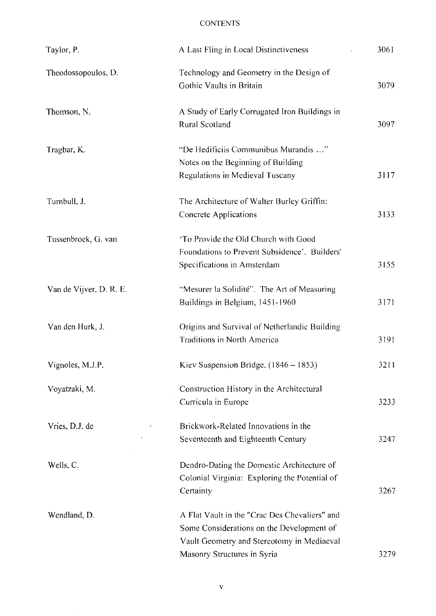| Taylor, P.              | A Last Fling in Local Distinctiveness                                                                                                    | 3061 |
|-------------------------|------------------------------------------------------------------------------------------------------------------------------------------|------|
| Theodossopoulos, D.     | Technology and Geometry in the Design of<br>Gothic Vaults in Britain                                                                     | 3079 |
| Thomson, N.             | A Study of Early Corrugated Iron Buildings in<br>Rural Scotland                                                                          | 3097 |
| Tragbar, K.             | "De Hedificiis Communibus Murandis "<br>Notes on the Beginning of Building<br>Regulations in Medieval Tuscany                            | 3117 |
| Turnbull, J.            | The Architecture of Walter Burley Griffin:<br>Concrete Applications                                                                      | 3133 |
| Tussenbroek, G. van     | 'To Provide the Old Church with Good<br>Foundations to Prevent Subsidence'. Builders'<br>Specifications in Amsterdam                     | 3155 |
| Van de Vijver, D. R. E. | "Mesurer la Solidité". The Art of Measuring<br>Buildings in Belgium, 1451-1960                                                           | 3171 |
| Van den Hurk, J.        | Origins and Survival of Netherlandic Building<br>Traditions in North America                                                             | 3191 |
| Vignoles, M.J.P.        | Kiev Suspension Bridge. (1846 – 1853)                                                                                                    | 3211 |
| Voyatzaki, M.           | Construction History in the Architectural<br>Curricula in Europe                                                                         | 3233 |
| Vries, D.J. de          | Brickwork-Related Innovations in the<br>Seventeenth and Eighteenth Century                                                               | 3247 |
| Wells, C.               | Dendro-Dating the Domestic Architecture of<br>Colonial Virginia: Exploring the Potential of<br>Certainty                                 | 3267 |
| Wendland, D.            | A Flat Vault in the "Crac Des Chevaliers" and<br>Some Considerations on the Development of<br>Vault Geometry and Stereotomy in Mediaeval |      |
|                         | Masonry Structures in Syria                                                                                                              | 3279 |